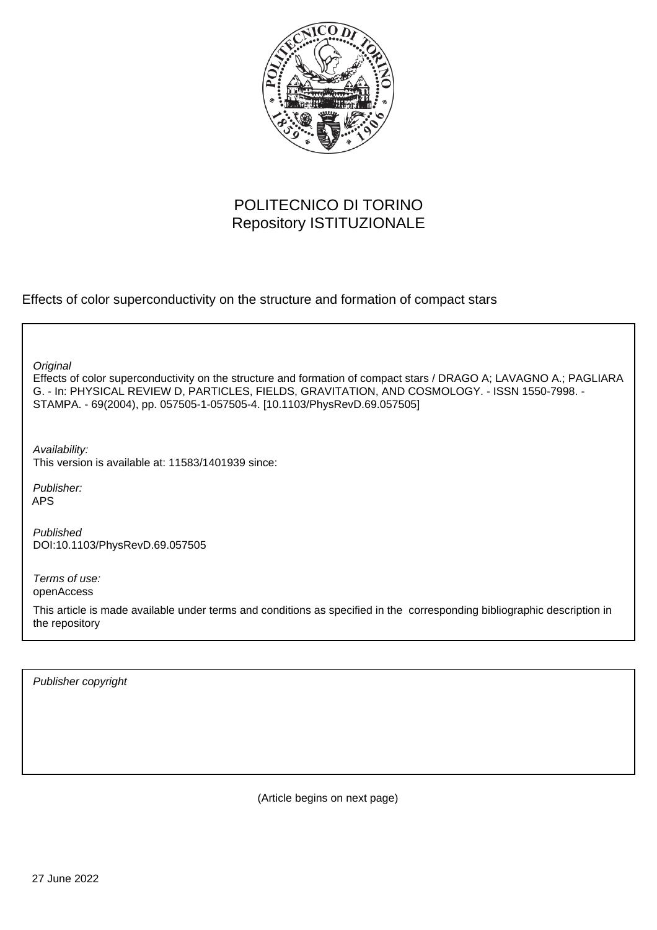

## POLITECNICO DI TORINO Repository ISTITUZIONALE

Effects of color superconductivity on the structure and formation of compact stars

**Original** 

Effects of color superconductivity on the structure and formation of compact stars / DRAGO A; LAVAGNO A.; PAGLIARA G. - In: PHYSICAL REVIEW D, PARTICLES, FIELDS, GRAVITATION, AND COSMOLOGY. - ISSN 1550-7998. - STAMPA. - 69(2004), pp. 057505-1-057505-4. [10.1103/PhysRevD.69.057505]

Availability: This version is available at: 11583/1401939 since:

Publisher: APS

Published DOI:10.1103/PhysRevD.69.057505

Terms of use: openAccess

This article is made available under terms and conditions as specified in the corresponding bibliographic description in the repository

Publisher copyright

(Article begins on next page)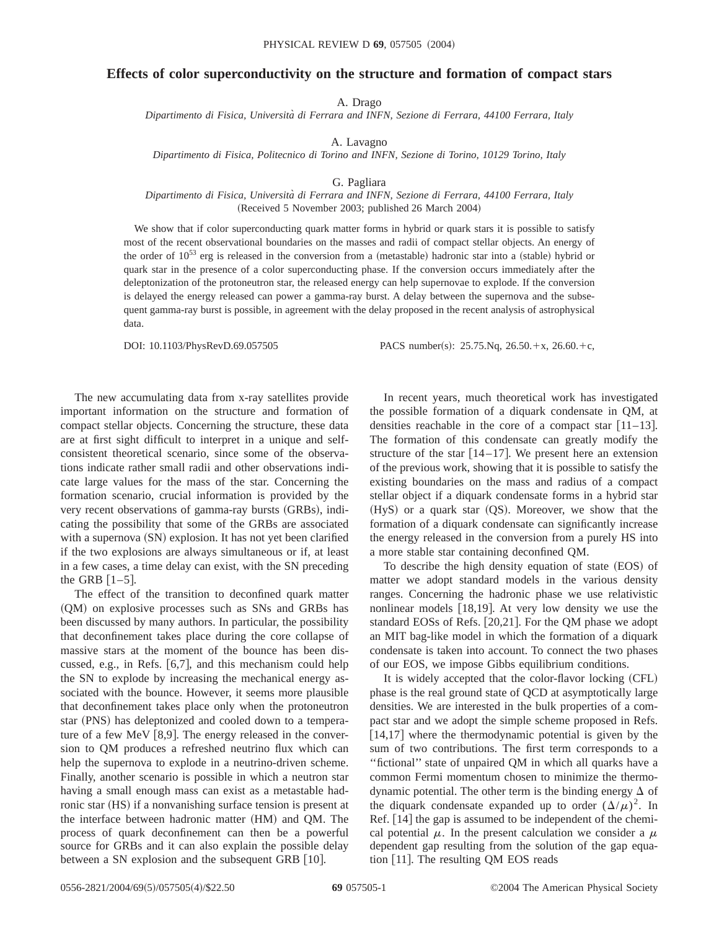## **Effects of color superconductivity on the structure and formation of compact stars**

A. Drago

*Dipartimento di Fisica, Universita` di Ferrara and INFN, Sezione di Ferrara, 44100 Ferrara, Italy*

A. Lavagno

*Dipartimento di Fisica, Politecnico di Torino and INFN, Sezione di Torino, 10129 Torino, Italy*

G. Pagliara

## *Dipartimento di Fisica, Universita` di Ferrara and INFN, Sezione di Ferrara, 44100 Ferrara, Italy* (Received 5 November 2003; published 26 March 2004)

We show that if color superconducting quark matter forms in hybrid or quark stars it is possible to satisfy most of the recent observational boundaries on the masses and radii of compact stellar objects. An energy of the order of  $10^{53}$  erg is released in the conversion from a (metastable) hadronic star into a (stable) hybrid or quark star in the presence of a color superconducting phase. If the conversion occurs immediately after the deleptonization of the protoneutron star, the released energy can help supernovae to explode. If the conversion is delayed the energy released can power a gamma-ray burst. A delay between the supernova and the subsequent gamma-ray burst is possible, in agreement with the delay proposed in the recent analysis of astrophysical data.

DOI: 10.1103/PhysRevD.69.057505 PACS number(s): 25.75.Nq, 26.50.+x, 26.60.+c,

The new accumulating data from x-ray satellites provide important information on the structure and formation of compact stellar objects. Concerning the structure, these data are at first sight difficult to interpret in a unique and selfconsistent theoretical scenario, since some of the observations indicate rather small radii and other observations indicate large values for the mass of the star. Concerning the formation scenario, crucial information is provided by the very recent observations of gamma-ray bursts (GRBs), indicating the possibility that some of the GRBs are associated with a supernova  $(SN)$  explosion. It has not yet been clarified if the two explosions are always simultaneous or if, at least in a few cases, a time delay can exist, with the SN preceding the GRB  $[1-5]$ .

The effect of the transition to deconfined quark matter (QM) on explosive processes such as SNs and GRBs has been discussed by many authors. In particular, the possibility that deconfinement takes place during the core collapse of massive stars at the moment of the bounce has been discussed, e.g., in Refs.  $[6,7]$ , and this mechanism could help the SN to explode by increasing the mechanical energy associated with the bounce. However, it seems more plausible that deconfinement takes place only when the protoneutron star (PNS) has deleptonized and cooled down to a temperature of a few MeV  $[8,9]$ . The energy released in the conversion to QM produces a refreshed neutrino flux which can help the supernova to explode in a neutrino-driven scheme. Finally, another scenario is possible in which a neutron star having a small enough mass can exist as a metastable hadronic star (HS) if a nonvanishing surface tension is present at the interface between hadronic matter (HM) and QM. The process of quark deconfinement can then be a powerful source for GRBs and it can also explain the possible delay between a SN explosion and the subsequent GRB  $[10]$ .

In recent years, much theoretical work has investigated the possible formation of a diquark condensate in QM, at densities reachable in the core of a compact star  $[11-13]$ . The formation of this condensate can greatly modify the structure of the star  $[14–17]$ . We present here an extension of the previous work, showing that it is possible to satisfy the existing boundaries on the mass and radius of a compact stellar object if a diquark condensate forms in a hybrid star  $(HyS)$  or a quark star  $(QS)$ . Moreover, we show that the formation of a diquark condensate can significantly increase the energy released in the conversion from a purely HS into a more stable star containing deconfined QM.

To describe the high density equation of state (EOS) of matter we adopt standard models in the various density ranges. Concerning the hadronic phase we use relativistic nonlinear models  $[18,19]$ . At very low density we use the standard EOSs of Refs.  $[20,21]$ . For the QM phase we adopt an MIT bag-like model in which the formation of a diquark condensate is taken into account. To connect the two phases of our EOS, we impose Gibbs equilibrium conditions.

It is widely accepted that the color-flavor locking (CFL) phase is the real ground state of QCD at asymptotically large densities. We are interested in the bulk properties of a compact star and we adopt the simple scheme proposed in Refs.  $[14,17]$  where the thermodynamic potential is given by the sum of two contributions. The first term corresponds to a ''fictional'' state of unpaired QM in which all quarks have a common Fermi momentum chosen to minimize the thermodynamic potential. The other term is the binding energy  $\Delta$  of the diquark condensate expanded up to order  $(\Delta/\mu)^2$ . In Ref.  $[14]$  the gap is assumed to be independent of the chemical potential  $\mu$ . In the present calculation we consider a  $\mu$ dependent gap resulting from the solution of the gap equation  $[11]$ . The resulting QM EOS reads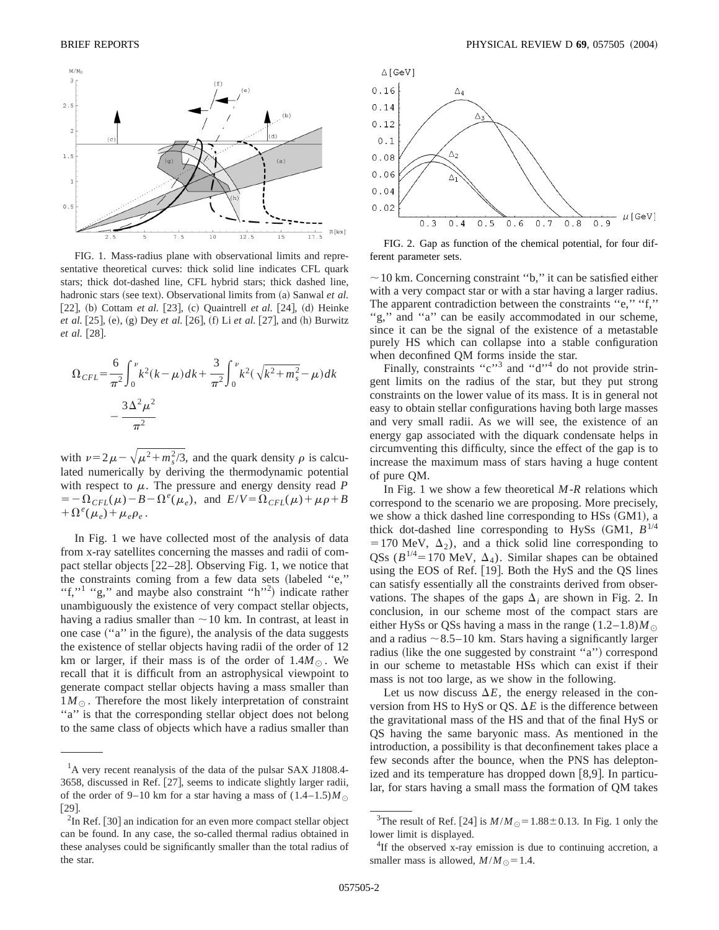

FIG. 1. Mass-radius plane with observational limits and representative theoretical curves: thick solid line indicates CFL quark stars; thick dot-dashed line, CFL hybrid stars; thick dashed line, hadronic stars (see text). Observational limits from (a) Sanwal *et al.* [22], (b) Cottam *et al.* [23], (c) Quaintrell *et al.* [24], (d) Heinke *et al.* [25], (e), (g) Dey *et al.* [26], (f) Li *et al.* [27], and (h) Burwitz *et al.* [28].

$$
\Omega_{CFL} = \frac{6}{\pi^2} \int_0^{\nu} k^2 (k - \mu) dk + \frac{3}{\pi^2} \int_0^{\nu} k^2 (\sqrt{k^2 + m_s^2} - \mu) dk
$$

$$
- \frac{3\Delta^2 \mu^2}{\pi^2}
$$

with  $\nu = 2\mu - \sqrt{\mu^2 + m_s^2/3}$ , and the quark density  $\rho$  is calculated numerically by deriving the thermodynamic potential with respect to  $\mu$ . The pressure and energy density read *P*  $=-\Omega_{CFL}(\mu)-B-\Omega^{e}(\mu_e)$ , and  $E/V=\Omega_{CFL}(\mu)+\mu\rho+B$  $+\Omega^e(\mu_e)+\mu_e\rho_e$ .

In Fig. 1 we have collected most of the analysis of data from x-ray satellites concerning the masses and radii of compact stellar objects  $[22-28]$ . Observing Fig. 1, we notice that the constraints coming from a few data sets (labeled "e," "f,"<sup>1</sup> "g," and maybe also constraint "h"<sup>2</sup>) indicate rather unambiguously the existence of very compact stellar objects, having a radius smaller than  $\sim$  10 km. In contrast, at least in one case ("a" in the figure), the analysis of the data suggests the existence of stellar objects having radii of the order of 12 km or larger, if their mass is of the order of  $1.4M_{\odot}$ . We recall that it is difficult from an astrophysical viewpoint to generate compact stellar objects having a mass smaller than  $1M_{\odot}$ . Therefore the most likely interpretation of constraint "a" is that the corresponding stellar object does not belong to the same class of objects which have a radius smaller than



FIG. 2. Gap as function of the chemical potential, for four different parameter sets.

 $\sim$  10 km. Concerning constraint "b," it can be satisfied either with a very compact star or with a star having a larger radius. The apparent contradiction between the constraints "e," "f," "g," and "a" can be easily accommodated in our scheme, since it can be the signal of the existence of a metastable purely HS which can collapse into a stable configuration when deconfined QM forms inside the star.

Finally, constraints " $c$ "<sup>3</sup> and " $d$ "<sup>4</sup> do not provide stringent limits on the radius of the star, but they put strong constraints on the lower value of its mass. It is in general not easy to obtain stellar configurations having both large masses and very small radii. As we will see, the existence of an energy gap associated with the diquark condensate helps in circumventing this difficulty, since the effect of the gap is to increase the maximum mass of stars having a huge content of pure QM.

In Fig. 1 we show a few theoretical *M*-*R* relations which correspond to the scenario we are proposing. More precisely, we show a thick dashed line corresponding to HSs (GM1), a thick dot-dashed line corresponding to HySs  $(GM1, B^{1/4})$ = 170 MeV,  $\Delta_2$ ), and a thick solid line corresponding to QSs ( $B^{1/4}$ = 170 MeV,  $\Delta_A$ ). Similar shapes can be obtained using the EOS of Ref.  $[19]$ . Both the HyS and the QS lines can satisfy essentially all the constraints derived from observations. The shapes of the gaps  $\Delta_i$  are shown in Fig. 2. In conclusion, in our scheme most of the compact stars are either HySs or QSs having a mass in the range  $(1.2-1.8)M_{\odot}$ and a radius  $\sim$  8.5–10 km. Stars having a significantly larger radius (like the one suggested by constraint "a") correspond in our scheme to metastable HSs which can exist if their mass is not too large, as we show in the following.

Let us now discuss  $\Delta E$ , the energy released in the conversion from HS to HyS or QS.  $\Delta E$  is the difference between the gravitational mass of the HS and that of the final HyS or QS having the same baryonic mass. As mentioned in the introduction, a possibility is that deconfinement takes place a few seconds after the bounce, when the PNS has deleptonized and its temperature has dropped down  $[8,9]$ . In particular, for stars having a small mass the formation of QM takes

<sup>&</sup>lt;sup>1</sup>A very recent reanalysis of the data of the pulsar SAX J1808.4-3658, discussed in Ref.  $[27]$ , seems to indicate slightly larger radii, of the order of 9–10 km for a star having a mass of  $(1.4-1.5)M_{\odot}$  $[29]$ .

 $2$ In Ref. [30] an indication for an even more compact stellar object can be found. In any case, the so-called thermal radius obtained in these analyses could be significantly smaller than the total radius of the star.

<sup>&</sup>lt;sup>3</sup>The result of Ref. [24] is  $M/M_{\odot} = 1.88 \pm 0.13$ . In Fig. 1 only the lower limit is displayed.

<sup>&</sup>lt;sup>4</sup>If the observed x-ray emission is due to continuing accretion, a smaller mass is allowed,  $M/M_{\odot} = 1.4$ .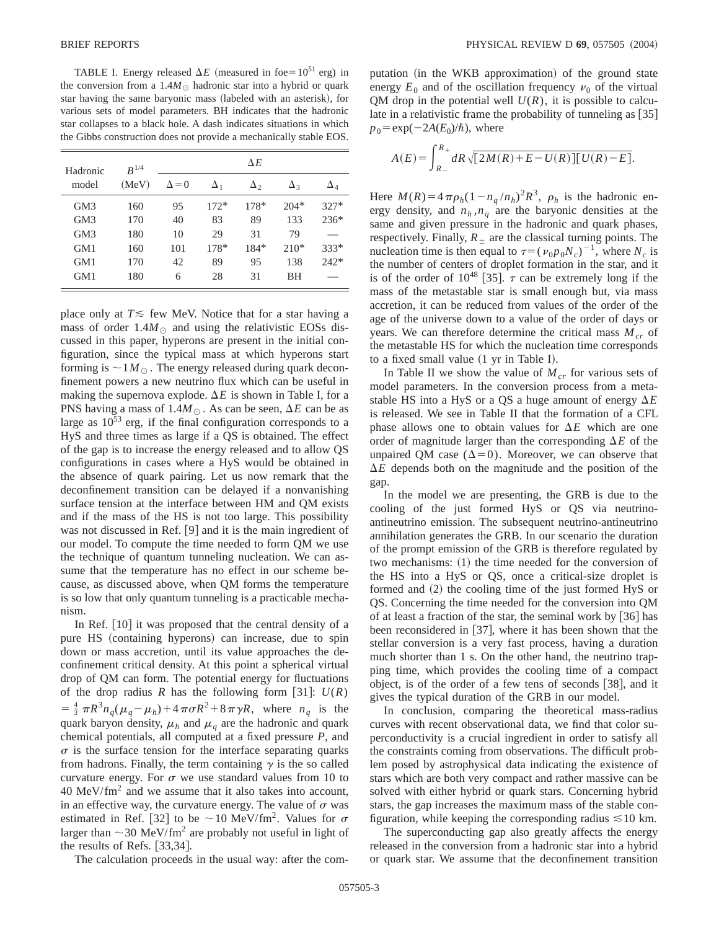TABLE I. Energy released  $\Delta E$  (measured in foe=10<sup>51</sup> erg) in the conversion from a  $1.4M_{\odot}$  hadronic star into a hybrid or quark star having the same baryonic mass (labeled with an asterisk), for various sets of model parameters. BH indicates that the hadronic star collapses to a black hole. A dash indicates situations in which the Gibbs construction does not provide a mechanically stable EOS.

| Hadronic<br>model | $R^{1/4}$<br>(MeV) | $\Delta E$   |            |            |            |            |  |
|-------------------|--------------------|--------------|------------|------------|------------|------------|--|
|                   |                    | $\Delta = 0$ | $\Delta_1$ | $\Delta_2$ | $\Delta_3$ | $\Delta_4$ |  |
| GM3               | 160                | 95           | $172*$     | $178*$     | $204*$     | $327*$     |  |
| GM3               | 170                | 40           | 83         | 89         | 133        | $236*$     |  |
| GM3               | 180                | 10           | 29         | 31         | 79         |            |  |
| GM1               | 160                | 101          | $178*$     | 184*       | $210*$     | $333*$     |  |
| GM1               | 170                | 42           | 89         | 95         | 138        | $242*$     |  |
| GM1               | 180                | 6            | 28         | 31         | ВH         |            |  |

place only at  $T \leq$  few MeV. Notice that for a star having a mass of order  $1.4M_{\odot}$  and using the relativistic EOSs discussed in this paper, hyperons are present in the initial configuration, since the typical mass at which hyperons start forming is  $\sim 1 M_{\odot}$ . The energy released during quark deconfinement powers a new neutrino flux which can be useful in making the supernova explode.  $\Delta E$  is shown in Table I, for a PNS having a mass of  $1.4M_{\odot}$ . As can be seen,  $\Delta E$  can be as large as  $10^{53}$  erg, if the final configuration corresponds to a HyS and three times as large if a QS is obtained. The effect of the gap is to increase the energy released and to allow QS configurations in cases where a HyS would be obtained in the absence of quark pairing. Let us now remark that the deconfinement transition can be delayed if a nonvanishing surface tension at the interface between HM and QM exists and if the mass of the HS is not too large. This possibility was not discussed in Ref.  $[9]$  and it is the main ingredient of our model. To compute the time needed to form QM we use the technique of quantum tunneling nucleation. We can assume that the temperature has no effect in our scheme because, as discussed above, when QM forms the temperature is so low that only quantum tunneling is a practicable mechanism.

In Ref.  $[10]$  it was proposed that the central density of a pure HS (containing hyperons) can increase, due to spin down or mass accretion, until its value approaches the deconfinement critical density. At this point a spherical virtual drop of QM can form. The potential energy for fluctuations of the drop radius *R* has the following form [31]:  $U(R)$  $=$   $\frac{4}{3} \pi R^3 n_q (\mu_q - \mu_h) + 4 \pi \sigma R^2 + 8 \pi \gamma R$ , where  $n_q$  is the quark baryon density,  $\mu_h$  and  $\mu_q$  are the hadronic and quark chemical potentials, all computed at a fixed pressure *P*, and  $\sigma$  is the surface tension for the interface separating quarks from hadrons. Finally, the term containing  $\gamma$  is the so called curvature energy. For  $\sigma$  we use standard values from 10 to  $40 \text{ MeV/fm}^2$  and we assume that it also takes into account, in an effective way, the curvature energy. The value of  $\sigma$  was estimated in Ref. [32] to be  $\sim$  10 MeV/fm<sup>2</sup>. Values for  $\sigma$ larger than  $\sim$  30 MeV/fm<sup>2</sup> are probably not useful in light of the results of Refs.  $[33,34]$ .

The calculation proceeds in the usual way: after the com-

putation (in the WKB approximation) of the ground state energy  $E_0$  and of the oscillation frequency  $v_0$  of the virtual QM drop in the potential well  $U(R)$ , it is possible to calculate in a relativistic frame the probability of tunneling as  $[35]$  $p_0 = \exp(-2A(E_0)/\hbar)$ , where

$$
A(E) = \int_{R_{-}}^{R_{+}} dR \sqrt{[2M(R) + E - U(R)][U(R) - E]}.
$$

Here  $M(R) = 4 \pi \rho_h (1 - n_q/n_h)^2 R^3$ ,  $\rho_h$  is the hadronic energy density, and  $n_h$ ,  $n_q$  are the baryonic densities at the same and given pressure in the hadronic and quark phases, respectively. Finally,  $R_{\pm}$  are the classical turning points. The nucleation time is then equal to  $\tau=(v_0p_0N_c)^{-1}$ , where  $N_c$  is the number of centers of droplet formation in the star, and it is of the order of  $10^{48}$  [35].  $\tau$  can be extremely long if the mass of the metastable star is small enough but, via mass accretion, it can be reduced from values of the order of the age of the universe down to a value of the order of days or years. We can therefore determine the critical mass  $M_{cr}$  of the metastable HS for which the nucleation time corresponds to a fixed small value  $(1 \text{ yr in Table I}).$ 

In Table II we show the value of  $M_{cr}$  for various sets of model parameters. In the conversion process from a metastable HS into a HyS or a QS a huge amount of energy  $\Delta E$ is released. We see in Table II that the formation of a CFL phase allows one to obtain values for  $\Delta E$  which are one order of magnitude larger than the corresponding  $\Delta E$  of the unpaired OM case  $(\Delta=0)$ . Moreover, we can observe that  $\Delta E$  depends both on the magnitude and the position of the gap.

In the model we are presenting, the GRB is due to the cooling of the just formed HyS or QS via neutrinoantineutrino emission. The subsequent neutrino-antineutrino annihilation generates the GRB. In our scenario the duration of the prompt emission of the GRB is therefore regulated by two mechanisms:  $(1)$  the time needed for the conversion of the HS into a HyS or QS, once a critical-size droplet is formed and  $(2)$  the cooling time of the just formed HyS or QS. Concerning the time needed for the conversion into QM of at least a fraction of the star, the seminal work by  $\lceil 36 \rceil$  has been reconsidered in  $[37]$ , where it has been shown that the stellar conversion is a very fast process, having a duration much shorter than 1 s. On the other hand, the neutrino trapping time, which provides the cooling time of a compact object, is of the order of a few tens of seconds  $[38]$ , and it gives the typical duration of the GRB in our model.

In conclusion, comparing the theoretical mass-radius curves with recent observational data, we find that color superconductivity is a crucial ingredient in order to satisfy all the constraints coming from observations. The difficult problem posed by astrophysical data indicating the existence of stars which are both very compact and rather massive can be solved with either hybrid or quark stars. Concerning hybrid stars, the gap increases the maximum mass of the stable configuration, while keeping the corresponding radius  $\leq 10$  km.

The superconducting gap also greatly affects the energy released in the conversion from a hadronic star into a hybrid or quark star. We assume that the deconfinement transition